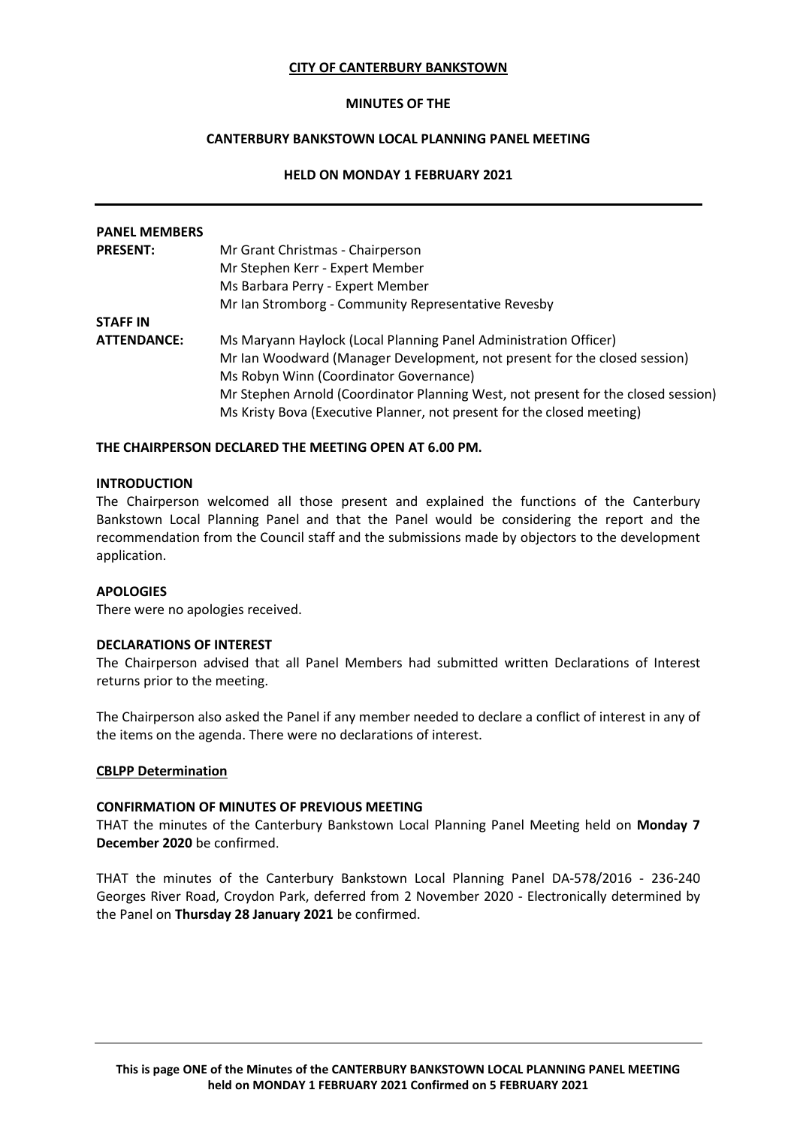## **CITY OF CANTERBURY BANKSTOWN**

## **MINUTES OF THE**

# **CANTERBURY BANKSTOWN LOCAL PLANNING PANEL MEETING**

## **HELD ON MONDAY 1 FEBRUARY 2021**

| <b>PANEL MEMBERS</b> |                                                                                   |
|----------------------|-----------------------------------------------------------------------------------|
| <b>PRESENT:</b>      | Mr Grant Christmas - Chairperson                                                  |
|                      | Mr Stephen Kerr - Expert Member                                                   |
|                      | Ms Barbara Perry - Expert Member                                                  |
|                      | Mr Ian Stromborg - Community Representative Revesby                               |
| <b>STAFF IN</b>      |                                                                                   |
| <b>ATTENDANCE:</b>   | Ms Maryann Haylock (Local Planning Panel Administration Officer)                  |
|                      | Mr Ian Woodward (Manager Development, not present for the closed session)         |
|                      | Ms Robyn Winn (Coordinator Governance)                                            |
|                      | Mr Stephen Arnold (Coordinator Planning West, not present for the closed session) |
|                      | Ms Kristy Bova (Executive Planner, not present for the closed meeting)            |

## **THE CHAIRPERSON DECLARED THE MEETING OPEN AT 6.00 PM.**

#### **INTRODUCTION**

The Chairperson welcomed all those present and explained the functions of the Canterbury Bankstown Local Planning Panel and that the Panel would be considering the report and the recommendation from the Council staff and the submissions made by objectors to the development application.

#### **APOLOGIES**

There were no apologies received.

#### **DECLARATIONS OF INTEREST**

The Chairperson advised that all Panel Members had submitted written Declarations of Interest returns prior to the meeting.

The Chairperson also asked the Panel if any member needed to declare a conflict of interest in any of the items on the agenda. There were no declarations of interest.

#### **CBLPP Determination**

#### **CONFIRMATION OF MINUTES OF PREVIOUS MEETING**

THAT the minutes of the Canterbury Bankstown Local Planning Panel Meeting held on **Monday 7 December 2020** be confirmed.

THAT the minutes of the Canterbury Bankstown Local Planning Panel DA-578/2016 - 236-240 Georges River Road, Croydon Park, deferred from 2 November 2020 - Electronically determined by the Panel on **Thursday 28 January 2021** be confirmed.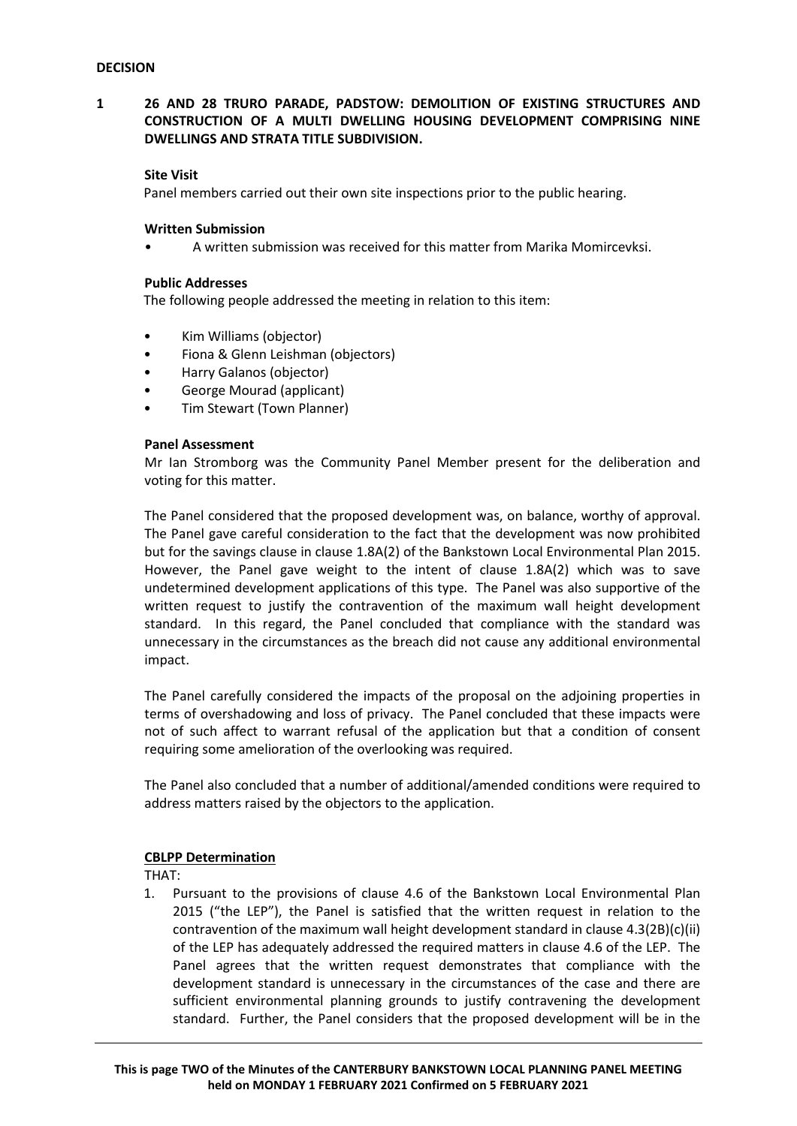# **1 26 AND 28 TRURO PARADE, PADSTOW: DEMOLITION OF EXISTING STRUCTURES AND CONSTRUCTION OF A MULTI DWELLING HOUSING DEVELOPMENT COMPRISING NINE DWELLINGS AND STRATA TITLE SUBDIVISION.**

## **Site Visit**

Panel members carried out their own site inspections prior to the public hearing.

## **Written Submission**

• A written submission was received for this matter from Marika Momircevksi.

## **Public Addresses**

The following people addressed the meeting in relation to this item:

- Kim Williams (objector)
- Fiona & Glenn Leishman (objectors)
- Harry Galanos (objector)
- George Mourad (applicant)
- Tim Stewart (Town Planner)

## **Panel Assessment**

Mr Ian Stromborg was the Community Panel Member present for the deliberation and voting for this matter.

The Panel considered that the proposed development was, on balance, worthy of approval. The Panel gave careful consideration to the fact that the development was now prohibited but for the savings clause in clause 1.8A(2) of the Bankstown Local Environmental Plan 2015. However, the Panel gave weight to the intent of clause 1.8A(2) which was to save undetermined development applications of this type. The Panel was also supportive of the written request to justify the contravention of the maximum wall height development standard. In this regard, the Panel concluded that compliance with the standard was unnecessary in the circumstances as the breach did not cause any additional environmental impact.

The Panel carefully considered the impacts of the proposal on the adjoining properties in terms of overshadowing and loss of privacy. The Panel concluded that these impacts were not of such affect to warrant refusal of the application but that a condition of consent requiring some amelioration of the overlooking was required.

The Panel also concluded that a number of additional/amended conditions were required to address matters raised by the objectors to the application.

#### **CBLPP Determination**

THAT:

1. Pursuant to the provisions of clause 4.6 of the Bankstown Local Environmental Plan 2015 ("the LEP"), the Panel is satisfied that the written request in relation to the contravention of the maximum wall height development standard in clause 4.3(2B)(c)(ii) of the LEP has adequately addressed the required matters in clause 4.6 of the LEP. The Panel agrees that the written request demonstrates that compliance with the development standard is unnecessary in the circumstances of the case and there are sufficient environmental planning grounds to justify contravening the development standard. Further, the Panel considers that the proposed development will be in the